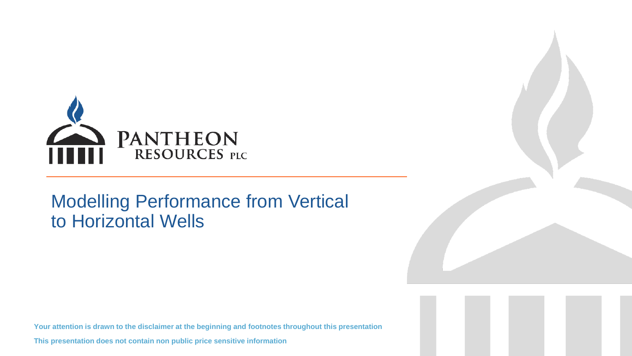

## Modelling Performance from Vertical to Horizontal Wells

**Your attention is drawn to the disclaimer at the beginning and footnotes throughout this presentation**

**This presentation does not contain non public price sensitive information**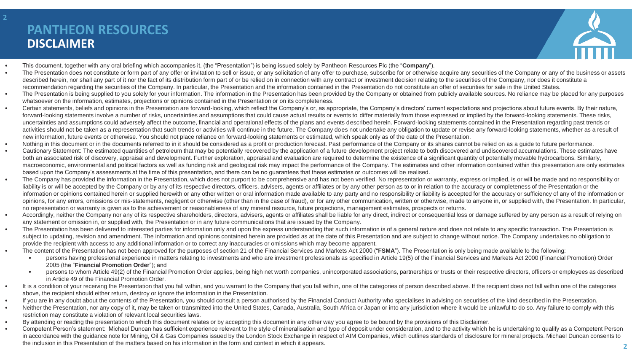### **DISCLAIMER PANTHEON RESOURCES**



- This document, together with any oral briefing which accompanies it, (the "Presentation") is being issued solely by Pantheon Resources Plc (the "**Company**").
- The Presentation does not constitute or form part of any offer or invitation to sell or issue, or any solicitation of any offer to purchase, subscribe for or otherwise acquire any securities of the Company or any of the described herein, nor shall any part of it nor the fact of its distribution form part of or be relied on in connection with any contract or investment decision relating to the securities of the Company, nor does it constit recommendation regarding the securities of the Company. In particular, the Presentation and the information contained in the Presentation do not constitute an offer of securities for sale in the United States.
- The Presentation is being supplied to you solely for your information. The information in the Presentation has been provided by the Company or obtained from publicly available sources. No reliance may be placed for any p whatsoever on the information, estimates, projections or opinions contained in the Presentation or on its completeness.
- Certain statements, beliefs and opinions in the Presentation are forward-looking, which reflect the Company's or, as appropriate, the Company's directors' current expectations and projections about future events. By thei forward-looking statements involve a number of risks, uncertainties and assumptions that could cause actual results or events to differ materially from those expressed or implied by the forward-looking statements. These ri uncertainties and assumptions could adversely affect the outcome, financial and operational effects of the plans and events described herein. Forward-looking statements contained in the Presentation regarding past trends or activities should not be taken as a representation that such trends or activities will continue in the future. The Company does not undertake any obligation to update or revise any forward-looking statements, whether as a new information, future events or otherwise. You should not place reliance on forward-looking statements or estimated, which speak only as of the date of the Presentation.
- Nothing in this document or in the documents referred to in it should be considered as a profit or production forecast. Past performance of the Company or its shares cannot be relied on as a quide to future performance.
- Cautionary Statement: The estimated quantities of petroleum that may be potentially recovered by the application of a future development project relate to both discovered and undiscovered accumulations. These estimates h both an associated risk of discovery, appraisal and development. Further exploration, appraisal and evaluation are required to determine the existence of a significant quantity of potentially movable hydrocarbons. Similarl macroeconomic, environmental and political factors as well as funding risk and geological risk may impact the performance of the Company. The estimates and other information contained within this presentation are only esti based upon the Company's assessments at the time of this presentation, and there can be no guarantees that these estimates or outcomes will be realised.
- The Company has provided the information in the Presentation, which does not purport to be comprehensive and has not been verified. No representation or warranty, express or implied, is or will be made and no responsibil liability is or will be accepted by the Company or by any of its respective directors, officers, advisers, agents or affiliates or by any other person as to or in relation to the accuracy or completeness of the Presentatio information or opinions contained herein or supplied herewith or any other written or oral information made available to any party and no responsibility or liability is accepted for the accuracy or sufficiency of any of th opinions, for any errors, omissions or mis-statements, negligent or otherwise (other than in the case of fraud), or for any other communication, written or otherwise, made to anyone in, or supplied with, the Presentation. no representation or warranty is given as to the achievement or reasonableness of any mineral resource, future projections, management estimates, prospects or returns.
- . Accordingly, neither the Company nor any of its respective shareholders, directors, advisers, agents or affiliates shall be liable for any direct, indirect or consequential loss or damage suffered by any person as a resu any statement or omission in, or supplied with, the Presentation or in any future communications that are issued by the Company.
- The Presentation has been delivered to interested parties for information only and upon the express understanding that such information is of a general nature and does not relate to any specific transaction. The Presenta subject to updating, revision and amendment. The information and opinions contained herein are provided as at the date of this Presentation and are subject to change without notice. The Company undertakes no obligation to provide the recipient with access to any additional information or to correct any inaccuracies or omissions which may become apparent.
- The content of the Presentation has not been approved for the purposes of section 21 of the Financial Services and Markets Act 2000 ("**FSMA**"). The Presentation is only being made available to the following:
	- persons having professional experience in matters relating to investments and who are investment professionals as specified in Article 19(5) of the Financial Services and Markets Act 2000 (Financial Promotion) Order 2005 (the "**Financial Promotion Order**"); and
	- persons to whom Article 49(2) of the Financial Promotion Order applies, being high net worth companies, unincorporated associations, partnerships or trusts or their respective directors, officers or employees as described in Article 49 of the Financial Promotion Order.
- It is a condition of your receiving the Presentation that you fall within, and you warrant to the Company that you fall within, one of the categories of person described above. If the recipient does not fall within one o above, the recipient should either return, destroy or ignore the information in the Presentation.
- If you are in any doubt about the contents of the Presentation, you should consult a person authorised by the Financial Conduct Authority who specialises in advising on securities of the kind described in the Presentation.
- . Neither the Presentation, nor any copy of it, may be taken or transmitted into the United States, Canada, Australia, South Africa or Japan or into any jurisdiction where it would be unlawful to do so. Any failure to comp restriction may constitute a violation of relevant local securities laws.
- By attending or reading the presentation to which this document relates or by accepting this document in any other way you agree to be bound by the provisions of this Disclaimer.
- Competent Person's statement: Michael Duncan has sufficient experience relevant to the style of mineralisation and type of deposit under consideration, and to the activity which he is undertaking to qualify as a Competen in accordance with the guidance note for Mining, Oil & Gas Companies issued by the London Stock Exchange in respect of AIM Companies, which outlines standards of disclosure for mineral projects. Michael Duncan consents to the inclusion in this Presentation of the matters based on his information in the form and context in which it appears.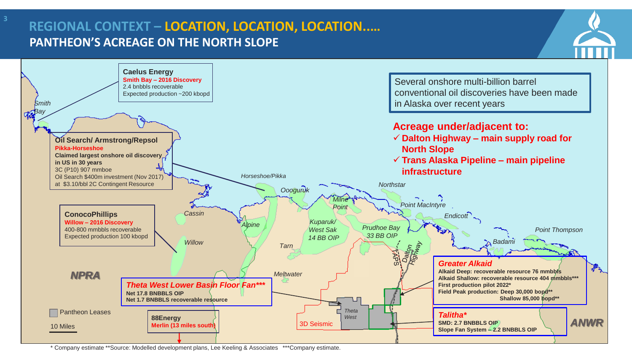### **PANTHEON'S ACREAGE ON THE NORTH SLOPE REGIONAL CONTEXT – LOCATION, LOCATION, LOCATION..…**



\* Company estimate \*\*Source: Modelled development plans, Lee Keeling & Associates \*\*\*Company estimate.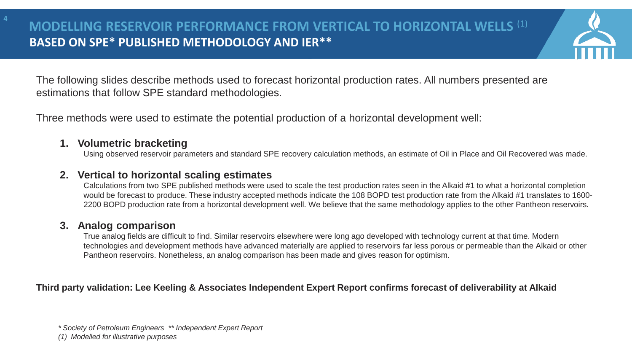

The following slides describe methods used to forecast horizontal production rates. All numbers presented are estimations that follow SPE standard methodologies.

Three methods were used to estimate the potential production of a horizontal development well:

### **1. Volumetric bracketing**

**4**

Using observed reservoir parameters and standard SPE recovery calculation methods, an estimate of Oil in Place and Oil Recovered was made.

### **2. Vertical to horizontal scaling estimates**

Calculations from two SPE published methods were used to scale the test production rates seen in the Alkaid #1 to what a horizontal completion would be forecast to produce. These industry accepted methods indicate the 108 BOPD test production rate from the Alkaid #1 translates to 1600- 2200 BOPD production rate from a horizontal development well. We believe that the same methodology applies to the other Pantheon reservoirs.

### **3. Analog comparison**

True analog fields are difficult to find. Similar reservoirs elsewhere were long ago developed with technology current at that time. Modern technologies and development methods have advanced materially are applied to reservoirs far less porous or permeable than the Alkaid or other Pantheon reservoirs. Nonetheless, an analog comparison has been made and gives reason for optimism.

### **Third party validation: Lee Keeling & Associates Independent Expert Report confirms forecast of deliverability at Alkaid**

*(1) Modelled for illustrative purposes*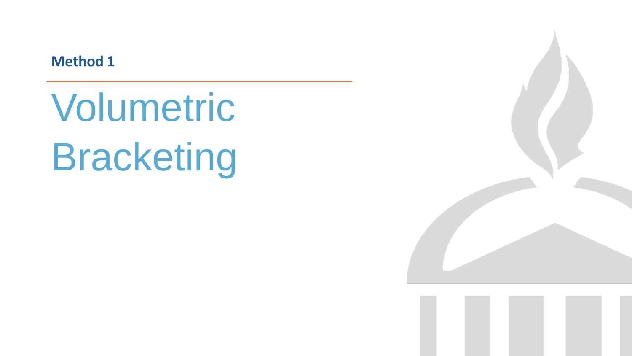**Method 1**

Volumetric Bracketing

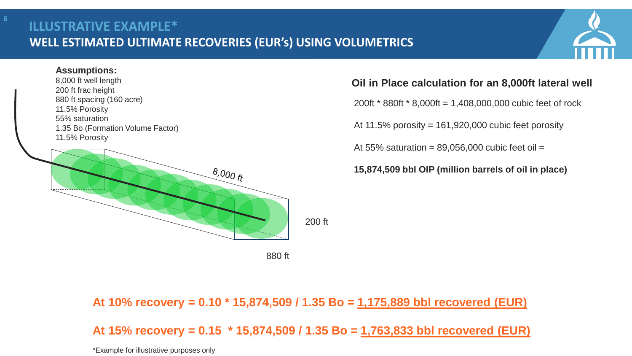### **WELL ESTIMATED ULTIMATE RECOVERIES (EUR's) USING VOLUMETRICS ILLUSTRATIVE EXAMPLE\***

### **Assumptions:**

8,000 ft well length 200 ft frac height 880 ft spacing (160 acre) 11.5% Porosity 55% saturation 1.35 Bo (Formation Volume Factor) 11.5% Porosity



### **Oil in Place calculation for an 8,000ft lateral well**

200ft \* 880ft \* 8,000ft = 1,408,000,000 cubic feet of rock

At 11.5% porosity =  $161,920,000$  cubic feet porosity

At 55% saturation =  $89,056,000$  cubic feet oil =

**15,874,509 bbl OIP (million barrels of oil in place)**

### **At 10% recovery = 0.10 \* 15,874,509 / 1.35 Bo = 1,175,889 bbl recovered (EUR)**

200 ft

**At 15% recovery = 0.15 \* 15,874,509 / 1.35 Bo = 1,763,833 bbl recovered (EUR)**

\*Example for illustrative purposes only

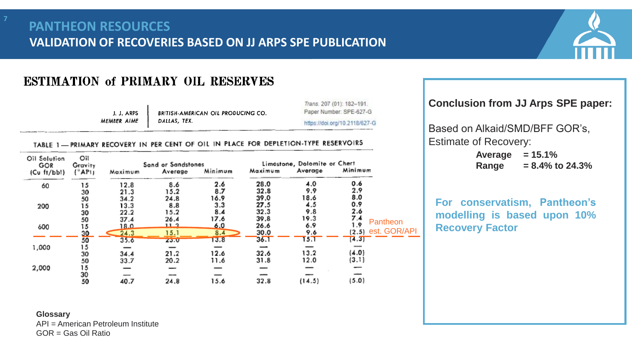

### **ESTIMATION of PRIMARY OIL RESERVES**

J. J. ARPS MEMBER AIME

BRITISH-AMERICAN OIL PRODUCING CO. DALLAS, TEX.

Trans. 207 (01): 182-191. Paper Number: SPE-627-G https://doi.org/10.2118/627-G

### TABLE 1-PRIMARY RECOVERY IN PER CENT OF OIL IN PLACE FOR DEPLETION-TYPE RESERVOIRS

| Oil Solution<br>GOR | Оil<br>Gravity   |         | Sand or Sandstones | Minimum | Maximum | Limostone, Dolomite or Chert<br>Average | Minimum |                      |
|---------------------|------------------|---------|--------------------|---------|---------|-----------------------------------------|---------|----------------------|
| (Cu ft/bbl)         | $(^{\circ}$ AP!) | Maximum | Average            |         |         |                                         |         |                      |
| 60                  | 15               | 12.8    | 8.6                | 2.6     | 28.0    | 4.0                                     | 0.6     |                      |
|                     | 30               | 21.3    | 15.2               | 8,7     | 32.8    | 9.9                                     | 2.9     |                      |
|                     | 50               | 34.2    | 24.8               | 16.9    | 39.0    | 18.6                                    | 8.0     |                      |
| 200                 | 15               | 13.3    | 8.8                | 3.3     | 27.5    | 4.5                                     | 0.9     |                      |
|                     | 30               | 22.2    | 15.2               | 8.4     | 32.3    | 9.8                                     | 2.6     |                      |
|                     | 50               | 37.4    | 26.4               | 17.6    | 39.8    | 19.3                                    | 7.4     | Pantheon             |
| 600                 | 15               | 18.0    | 11.3               | 6.0     | 26.6    | 6.9                                     | 1.9     |                      |
|                     | 30               | 24.3    | 15.1               | 8,4     | 30.0    | 9.6                                     |         | $(2.5)$ est. GOR/API |
|                     | 50               | 3.5.6   | ZJ.U               | 13.8    | 36.1    | 15.1                                    | [4,3]   |                      |
| 1,000               | 15               |         |                    |         |         |                                         |         |                      |
|                     | 30               | 34.4    | 21.2               | 12.6    | 32.6    | 13.2                                    | (4.0)   |                      |
|                     | 50               | 33.7    | 20.2               | 11.6    | 31.8    | 12.0                                    | (3.1)   |                      |
| 2,000               | 15               |         |                    |         |         |                                         |         |                      |
|                     | 30               | $-$     | ---                |         |         |                                         |         |                      |
|                     | 50               | 40.7    | 24.8               | 15.6    | 32.8    | (14.5)                                  | (5.0)   |                      |

### **Conclusion from JJ Arps SPE paper:**

Based on Alkaid/SMD/BFF GOR's, Estimate of Recovery:

> **Average = 15.1% Range = 8.4% to 24.3%**

**For conservatism, Pantheon's modelling is based upon 10% Recovery Factor**

**Glossary**

API = American Petroleum Institute

GOR = Gas Oil Ratio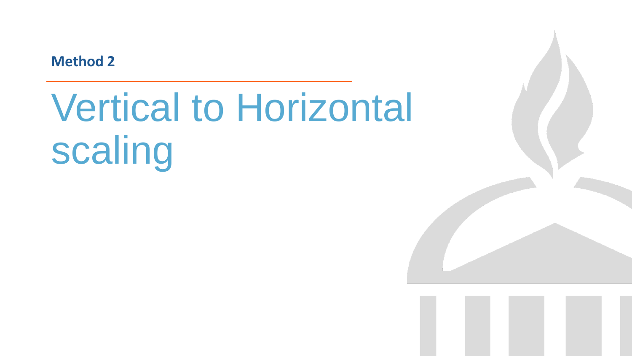**Method 2**

# Vertical to Horizontal scaling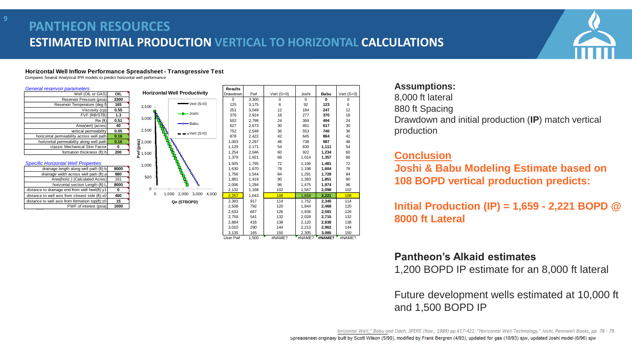### **ESTIMATED INITIAL PRODUCTION VERTICAL TO HORIZONTAL CALCULATIONS PANTHEON RESOURCES**

#### *General reservoir parameters*

| Well (OIL or GAS)                        | OIL  |
|------------------------------------------|------|
| Reservoir Pressure (psia)                | 3300 |
| Reservoir Temperature (deg f)            | 165  |
| Viscosity (cp)                           | 0.55 |
| FVF (RB/STB)                             | 1.3  |
| Rw(ft)                                   | 0.51 |
| Area(vert) (acres)                       | 40   |
| vertical permeability                    | 0.05 |
| horizontal permeability across well path | 0.16 |
| horizontal permeability along well path  | 0.16 |
| classic Mechanical Skin Factor           | 0    |
| formation thickness (ft):h               | 200  |

#### **Specific Horizontal Well Properties**

| 8000 | drainage length along well path (ft):b          |  |  |  |  |  |
|------|-------------------------------------------------|--|--|--|--|--|
| 880  | drainage width across well path (ft):a          |  |  |  |  |  |
| 161  | Area(horiz.) (Calculated Acres)                 |  |  |  |  |  |
| 8000 | horizontal section Length (ft):L                |  |  |  |  |  |
|      | distance to drainage end from well heel(ft):y1  |  |  |  |  |  |
| 400  | distance to well axis from closest side (ft):x0 |  |  |  |  |  |
| 15   | distance to well axis from formation top(ft):z0 |  |  |  |  |  |
| 1000 | PWF of interest (psia)                          |  |  |  |  |  |

| General reservoir parameters<br>Well (OIL or GAS)<br>OIL                                                  | <b>Horizontal Well Productivity</b>                                                                                 | <b>Results</b><br>Drawdowr | Pwf            | Vert $(S=0)$ | Joshi          | Babu           | Vert $(S=0)$ | <b>Assumptions:</b>                     |
|-----------------------------------------------------------------------------------------------------------|---------------------------------------------------------------------------------------------------------------------|----------------------------|----------------|--------------|----------------|----------------|--------------|-----------------------------------------|
| Reservoir Pressure (psia)<br>3300                                                                         |                                                                                                                     | $\mathbf 0$                | 3,300          | $\Omega$     | $\mathbf{0}$   | $\mathbf 0$    |              | 8,000 ft lateral                        |
| 165<br>Reservoir Temperature (deg f                                                                       | $\longrightarrow$ Vert (S=0)<br>3,500                                                                               | 125                        | 3,175          | 6            | 92             | 123            | 6            |                                         |
| 0.55<br>Viscosity (cp)                                                                                    | <del>–□—</del> Joshi                                                                                                | 251                        | 3,049          | 12           | 184            | 247            | 12           | 880 ft Spacing                          |
| 1.3<br>FVF (RB/STB)                                                                                       | 3,000                                                                                                               | 376                        | 2,924          | 18           | 277            | 370            | 18           | Drawdown and initial p                  |
| 0.51<br>Rw (ft)<br>Area(vert) (acres<br>40                                                                | → Babu                                                                                                              | 502<br>627                 | 2,798<br>2,673 | 24<br>30     | 369<br>461     | 494<br>617     | 24<br>30     |                                         |
| 0.05<br>vertical permeability                                                                             | 2,500                                                                                                               | 752                        | 2,548          | 36           | 553            | 740            | 36           | production                              |
| horizontal permeability across well path<br>0.16                                                          | $\bullet \bullet \text{Vert}$ (S=0)                                                                                 | 878                        | 2,422          | 42           | 645            | 864            | 42           |                                         |
| horizontal permeability along well path<br>0.16                                                           |                                                                                                                     | 1,003                      | 2,297          | 48           | 738            | 987            | 48           |                                         |
| classic Mechanical Skin Factor<br>$\mathbf 0$                                                             |                                                                                                                     | 1,129                      | 2,171          | 54           | 830            | 1,111          | 54           |                                         |
| 200<br>formation thickness (ft):h                                                                         | $\frac{2}{3}$<br>$\frac{2}{3}$<br>$\frac{1}{3}$<br>$\frac{5}{3}$<br>$\frac{1}{3}$<br>$\frac{1}{3}$<br>$\frac{1}{3}$ | 1,254                      | 2,046          | 60           | 922            | 1,234          | 60           |                                         |
|                                                                                                           |                                                                                                                     | 1,379                      | 1,921          | 66           | 1.014          | 1.357          | 66           | <b>Conclusion</b>                       |
| <b>Specific Horizontal Well Properties</b>                                                                | 1,000                                                                                                               | 1,505                      | 1,795          | 72           | 1,106          | 1,481          | 72           |                                         |
| 8000<br>drainage length along well path (ft):b                                                            |                                                                                                                     | 1,630                      | 1,670          | 78           | 1,198          | 1,604          | 78           | <b>Joshi &amp; Babu Mod</b>             |
| drainage width across well path (ft):a<br>880                                                             | 500                                                                                                                 | 1,756                      | 1,544          | 84           | 1,291          | 1,728          | 84           |                                         |
| 161<br>Area(horiz.) (Calculated Acres)                                                                    |                                                                                                                     | 1,881                      | 1,419          | 90           | 1,383          | 1,851          | 90           | <b>108 BOPD vertical</b>                |
| 8000<br>horizontal section Length (ft):L<br>distance to drainage end from well heel(ft):y1<br>$\mathbf 0$ | $\Omega$                                                                                                            | 2,006<br>2,132             | 1,294<br>1,168 | 96<br>102    | 1,475<br>1,567 | 1,974<br>2,098 | 96<br>102    |                                         |
| 400<br>distance to well axis from closest side (ft):x0                                                    | 1,000 2,000 3,000<br>$\mathbf 0$<br>4.000                                                                           | 2,257                      | 1,043          | 108          | 1,659          | 2.221          | 108          |                                         |
| 15<br>distance to well axis from formation top(ft):z0                                                     | Qo (STBOPD)                                                                                                         | 2,383                      | 917            | 114          | 1,752          | 2.345          | 114          |                                         |
| 1000<br>PWF of interest (psia)                                                                            |                                                                                                                     | 2,508                      | 792            | 120          | 1,844          | 2,468          | 120          | <b>Initial Production (</b>             |
|                                                                                                           |                                                                                                                     | 2,633                      | 667            | 126          | 1,936          | 2,591          | 126          |                                         |
|                                                                                                           |                                                                                                                     | 2,759                      | 541            | 132          | 2,028          | 2,715          | 132          | 8000 ft Lateral                         |
|                                                                                                           |                                                                                                                     | 2,884                      | 416            | 138          | 2,120          | 2,838          | 138          |                                         |
|                                                                                                           |                                                                                                                     | 3,010                      | 290            | 144          | 2,213          | 2,962          | 144          |                                         |
|                                                                                                           |                                                                                                                     | 3,135                      | 165            | 150          | 2,305          | 3,085          | 150          |                                         |
|                                                                                                           |                                                                                                                     | User Pwf                   | 1,500          | #NAME?       | #NAME?         | #NAME?         | #NAME?       |                                         |
|                                                                                                           |                                                                                                                     |                            |                |              |                |                |              | <b>Pantheon's Alkaid</b>                |
|                                                                                                           |                                                                                                                     |                            |                |              |                |                |              |                                         |
|                                                                                                           |                                                                                                                     |                            |                |              |                |                |              | 1,200 BOPD IP esti                      |
|                                                                                                           |                                                                                                                     |                            |                |              |                |                |              | Future development<br>and 1,500 BOPD IP |

### **Assumptions:**

Drawdown and initial production (**IP**) match vertical production

### **Conclusion**

**Joshi & Babu Modeling Estimate based on 108 BOPD vertical production predicts:**

**Initial Production (IP) = 1,659 - 2,221 BOPD @ 8000 ft Lateral**

### **Pantheon's Alkaid estimates**

1,200 BOPD IP estimate for an 8,000 ft lateral

Future development wells estimated at 10,000 ft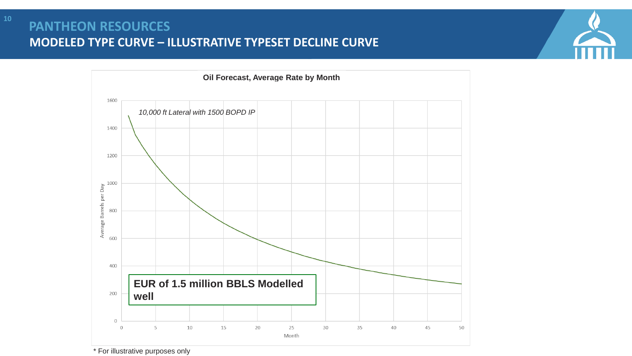### **MODELED TYPE CURVE – ILLUSTRATIVE TYPESET DECLINE CURVE PANTHEON RESOURCES**



\* For illustrative purposes only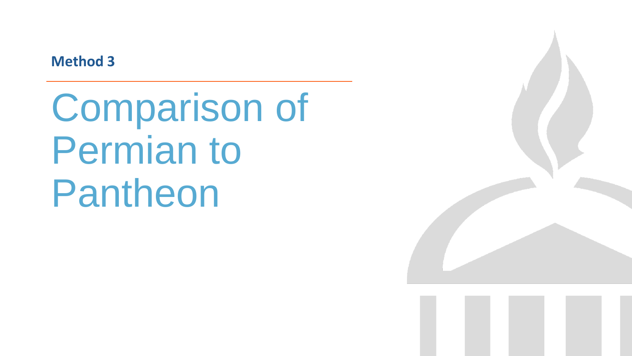**Method 3**

Comparison of Permian to Pantheon

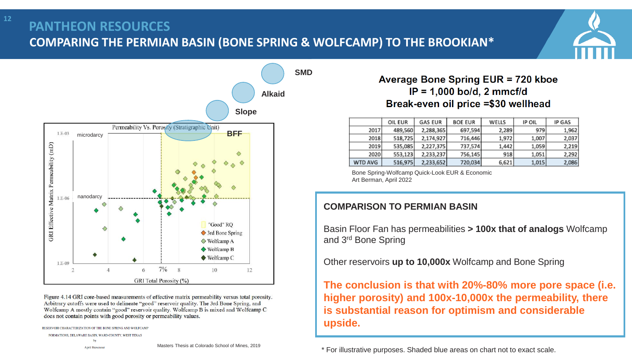### **COMPARING THE PERMIAN BASIN (BONE SPRING & WOLFCAMP) TO THE BROOKIAN\* PANTHEON RESOURCES**

**SMD**



Figure 4.14 GRI core-based measurements of effective matrix permeability versus total porosity. Arbitrary cutoffs were used to delineate "good" reservoir quality. The 3rd Bone Spring, and Wolfcamp A mostly contain "good" reservoir quality. Wolfcamp B is mixed and Wolfcamp C does not contain points with good porosity or permeability values.

```
RESERVOIR CHARACTERIZATION OF THE BONE SPRING AND WOLFCAM
FORMATIONS, DELAWARE BASIN, WARD COUNTY, WEST TEXAS
                         by
                    April Bievenou
```
### Average Bone Spring EUR = 720 kboe  $IP = 1,000$  bo/d, 2 mmcf/d Break-even oil price =\$30 wellhead

|                | OIL EUR | <b>GAS EUR</b> | <b>BOE EUR</b> | WELLS | <b>IP OIL</b> | <b>IP GAS</b> |
|----------------|---------|----------------|----------------|-------|---------------|---------------|
| 2017           | 489,560 | 2,288,365      | 697,594        | 2,289 | 979           | 1,962         |
| 2018           | 518,725 | 2.174.927      | 716,446        | 1,972 | 1,007         | 2,037         |
| 2019           | 535,085 | 2,227,375      | 737,574        | 1,442 | 1,059         | 2,219         |
| 2020           | 553,123 | 2,233,237      | 756,145        | 918   | 1.051         | 2,292         |
| <b>WTD AVG</b> | 516,975 | 2.233,652      | 720,034        | 6,621 | 1,015         | 2,086         |

Bone Spring-Wolfcamp Quick-Look EUR & Economic Art Berman, April 2022

### **COMPARISON TO PERMIAN BASIN**

Basin Floor Fan has permeabilities **> 100x that of analogs** Wolfcamp and 3rd Bone Spring

Other reservoirs **up to 10,000x** Wolfcamp and Bone Spring

**The conclusion is that with 20%-80% more pore space (i.e. higher porosity) and 100x-10,000x the permeability, there is substantial reason for optimism and considerable upside.** 

\* For illustrative purposes. Shaded blue areas on chart not to exact scale.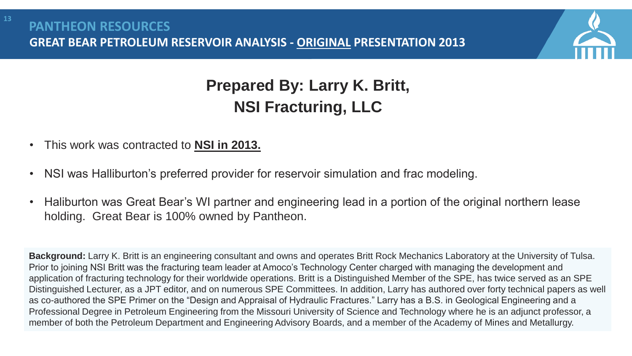

# **Prepared By: Larry K. Britt, NSI Fracturing, LLC**

- This work was contracted to **NSI in 2013.**
- NSI was Halliburton's preferred provider for reservoir simulation and frac modeling.
- Haliburton was Great Bear's WI partner and engineering lead in a portion of the original northern lease holding. Great Bear is 100% owned by Pantheon.

**Background:** Larry K. Britt is an engineering consultant and owns and operates Britt Rock Mechanics Laboratory at the University of Tulsa. Prior to joining NSI Britt was the fracturing team leader at Amoco's Technology Center charged with managing the development and application of fracturing technology for their worldwide operations. Britt is a Distinguished Member of the SPE, has twice served as an SPE Distinguished Lecturer, as a JPT editor, and on numerous SPE Committees. In addition, Larry has authored over forty technical papers as well as co-authored the SPE Primer on the "Design and Appraisal of Hydraulic Fractures." Larry has a B.S. in Geological Engineering and a Professional Degree in Petroleum Engineering from the Missouri University of Science and Technology where he is an adjunct professor, a member of both the Petroleum Department and Engineering Advisory Boards, and a member of the Academy of Mines and Metallurgy.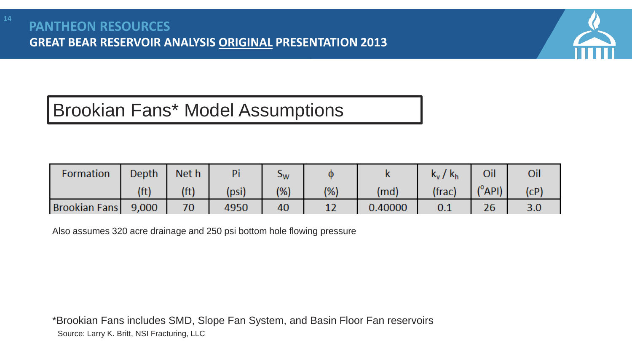

# Brookian Fans\* Model Assumptions

| Formation     | <b>Depth</b>      | Net h | Pi    | эw   |     |         | $k_v / k_h$ | Oil                       |      |
|---------------|-------------------|-------|-------|------|-----|---------|-------------|---------------------------|------|
|               | (f <sup>t</sup> ) | (ft)  | (psi) | (% ) | (%) | (md)    | (frac)      | $ $ ( $^{\circ}$ API) $ $ | (CP) |
| Brookian Fans | 9,000             | 70    | 4950  | 40   |     | 0.40000 | 0.1         | 26                        | 3.0  |

Also assumes 320 acre drainage and 250 psi bottom hole flowing pressure

\*Brookian Fans includes SMD, Slope Fan System, and Basin Floor Fan reservoirs Source: Larry K. Britt, NSI Fracturing, LLC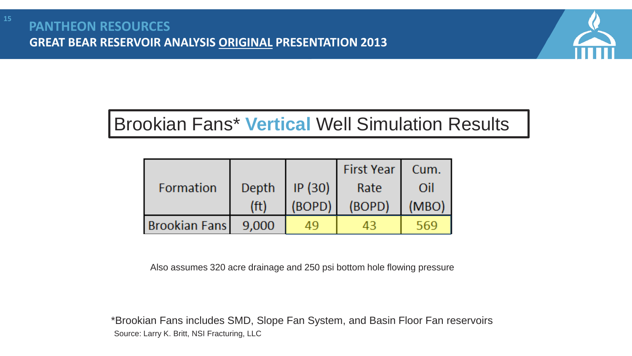

# Brookian Fans\* **Vertical** Well Simulation Results

|                      |                   |        | <b>First Year</b> | Cum.  |
|----------------------|-------------------|--------|-------------------|-------|
| Formation            | Depth             | IP(30) | Rate              | Oil   |
|                      | (f <sup>t</sup> ) | (BOPD) | (BOPD)            | (MBO) |
| <b>Brookian Fans</b> | 9,000             |        |                   |       |

Also assumes 320 acre drainage and 250 psi bottom hole flowing pressure

Source: Larry K. Britt, NSI Fracturing, LLC \*Brookian Fans includes SMD, Slope Fan System, and Basin Floor Fan reservoirs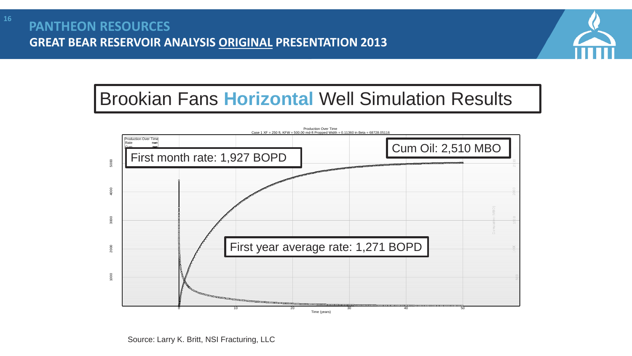

# Brookian Fans **Horizontal** Well Simulation Results

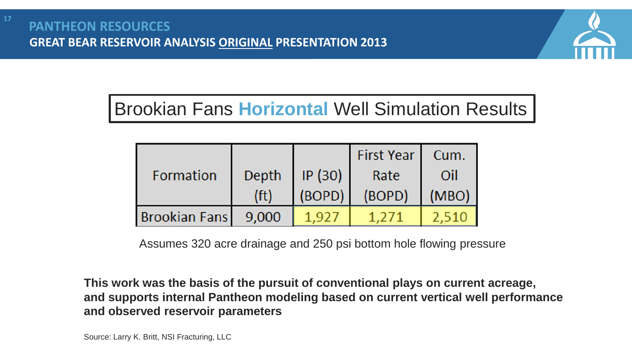

# Brookian Fans **Horizontal** Well Simulation Results

|                      |                   |        | <b>First Year</b> | Cum.  |
|----------------------|-------------------|--------|-------------------|-------|
| Formation            | IP(30)<br>Depth   |        | Rate              | Oil   |
|                      | (f <sup>t</sup> ) | (BOPD) | (BOPD)            | (MBO) |
| <b>Brookian Fans</b> | 9,000             |        |                   |       |

Assumes 320 acre drainage and 250 psi bottom hole flowing pressure

**This work was the basis of the pursuit of conventional plays on current acreage, and supports internal Pantheon modeling based on current vertical well performance and observed reservoir parameters**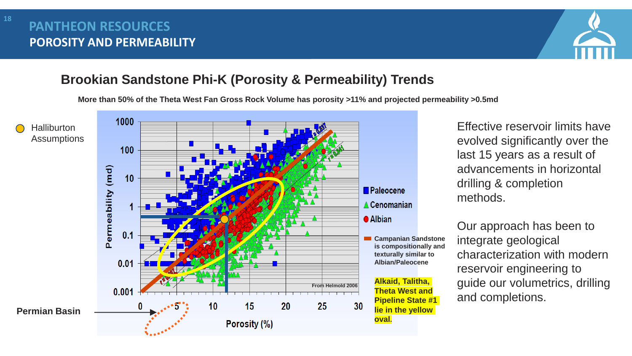### **POROSITY AND PERMEABILITY PANTHEON RESOURCES**



### **Brookian Sandstone Phi-K (Porosity & Permeability) Trends**

**More than 50% of the Theta West Fan Gross Rock Volume has porosity >11% and projected permeability >0.5md**



Effective reservoir limits have evolved significantly over the last 15 years as a result of advancements in horizontal drilling & completion methods.

Our approach has been to integrate geological characterization with modern reservoir engineering to guide our volumetrics, drilling and completions.